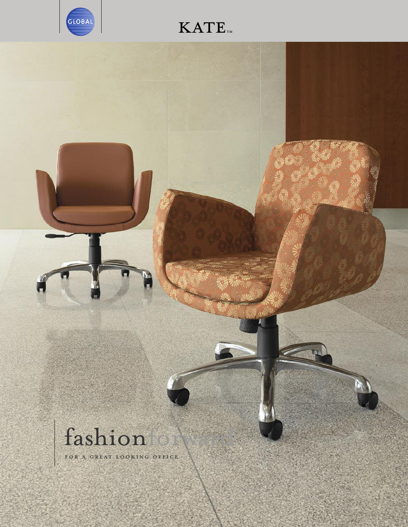

## **KATE**TM

## fashion

FOR A GREAT LOOKING OFFICE